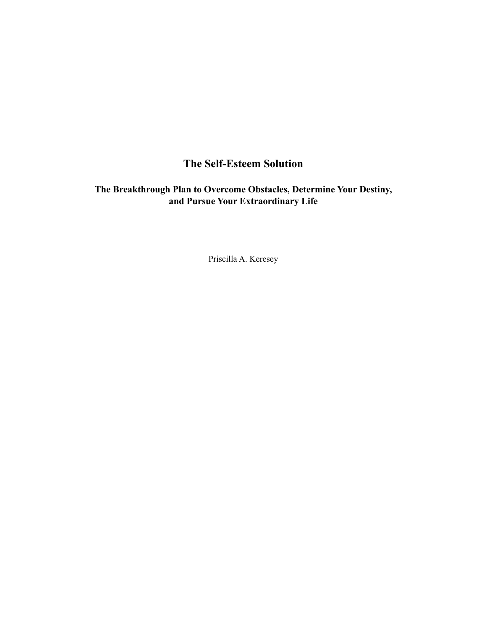# **The Self-Esteem Solution**

# **The Breakthrough Plan to Overcome Obstacles, Determine Your Destiny, and Pursue Your Extraordinary Life**

Priscilla A. Keresey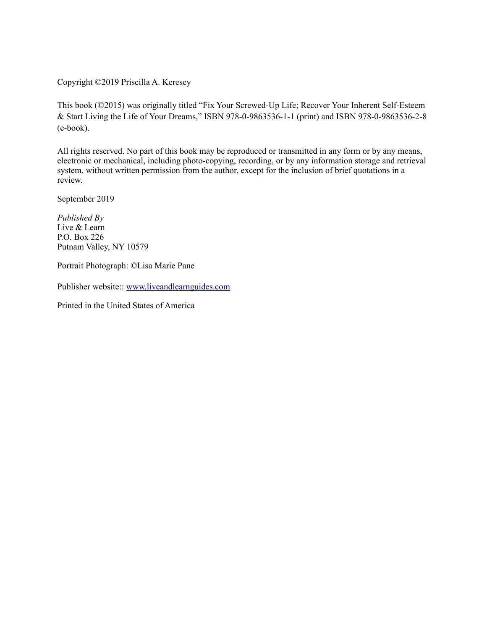Copyright ©2019 Priscilla A. Keresey

This book (©2015) was originally titled "Fix Your Screwed-Up Life; Recover Your Inherent Self-Esteem & Start Living the Life of Your Dreams," ISBN 978-0-9863536-1-1 (print) and ISBN 978-0-9863536-2-8 (e-book).

All rights reserved. No part of this book may be reproduced or transmitted in any form or by any means, electronic or mechanical, including photo-copying, recording, or by any information storage and retrieval system, without written permission from the author, except for the inclusion of brief quotations in a review.

September 2019

*Published By* Live & Learn P.O. Box 226 Putnam Valley, NY 10579

Portrait Photograph: ©Lisa Marie Pane

Publisher website:: [www.liveandlearnguides.com](http://www.liveandlearnguides.com)

Printed in the United States of America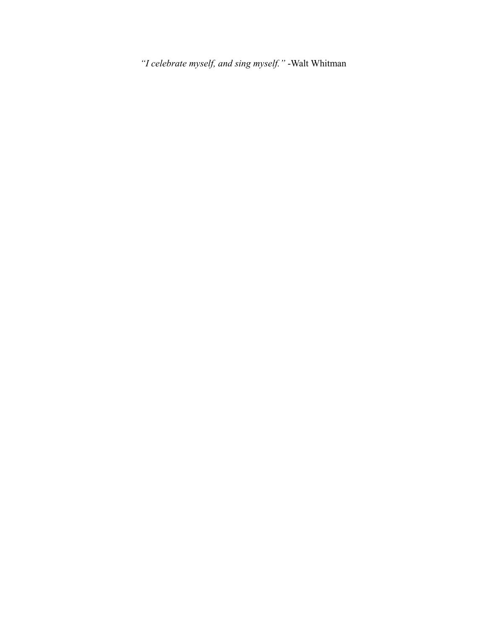*"I celebrate myself, and sing myself."* -Walt Whitman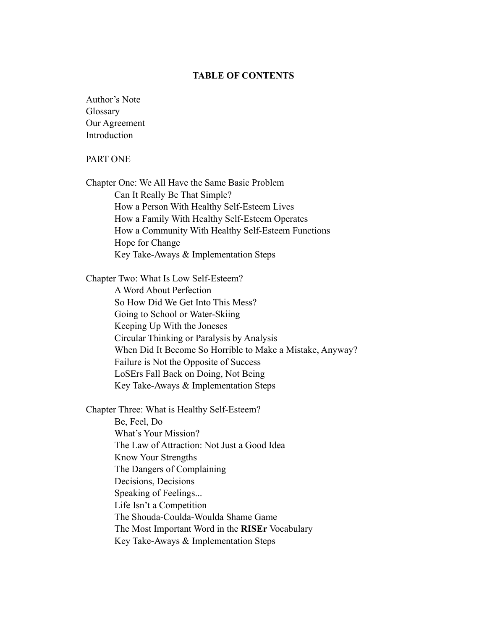#### **TABLE OF CONTENTS**

Author's Note Glossary Our Agreement Introduction

## PART ONE

Chapter One: We All Have the Same Basic Problem Can It Really Be That Simple? How a Person With Healthy Self-Esteem Lives How a Family With Healthy Self-Esteem Operates How a Community With Healthy Self-Esteem Functions Hope for Change Key Take-Aways & Implementation Steps

Chapter Two: What Is Low Self-Esteem? A Word About Perfection So How Did We Get Into This Mess? Going to School or Water-Skiing Keeping Up With the Joneses Circular Thinking or Paralysis by Analysis When Did It Become So Horrible to Make a Mistake, Anyway? Failure is Not the Opposite of Success LoSErs Fall Back on Doing, Not Being Key Take-Aways & Implementation Steps

Chapter Three: What is Healthy Self-Esteem? Be, Feel, Do What's Your Mission? The Law of Attraction: Not Just a Good Idea Know Your Strengths The Dangers of Complaining Decisions, Decisions Speaking of Feelings... Life Isn't a Competition The Shouda-Coulda-Woulda Shame Game The Most Important Word in the **RISEr** Vocabulary Key Take-Aways & Implementation Steps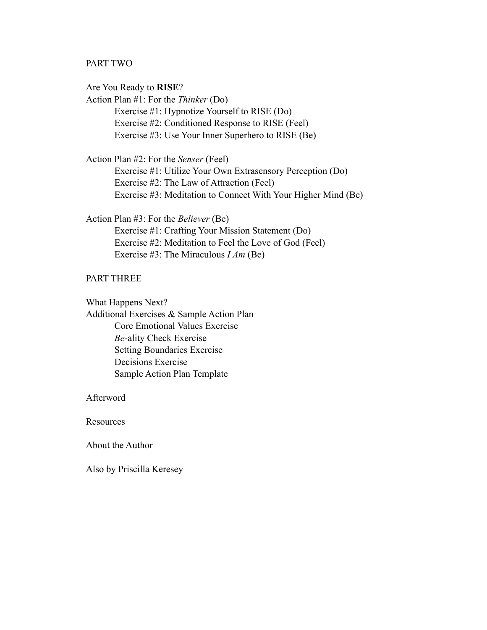## PART TWO

Are You Ready to **RISE**? Action Plan #1: For the *Thinker* (Do) Exercise #1: Hypnotize Yourself to RISE (Do) Exercise #2: Conditioned Response to RISE (Feel) Exercise #3: Use Your Inner Superhero to RISE (Be)

Action Plan #2: For the *Senser* (Feel) Exercise #1: Utilize Your Own Extrasensory Perception (Do) Exercise #2: The Law of Attraction (Feel) Exercise #3: Meditation to Connect With Your Higher Mind (Be)

Action Plan #3: For the *Believer* (Be) Exercise #1: Crafting Your Mission Statement (Do) Exercise #2: Meditation to Feel the Love of God (Feel) Exercise #3: The Miraculous *I Am* (Be)

#### PART THREE

What Happens Next?

Additional Exercises & Sample Action Plan Core Emotional Values Exercise *Be*-ality Check Exercise Setting Boundaries Exercise Decisions Exercise Sample Action Plan Template

Afterword

**Resources** 

About the Author

Also by Priscilla Keresey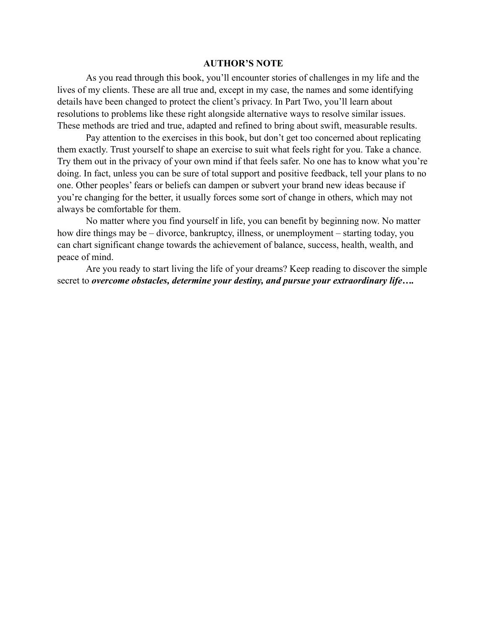#### **AUTHOR'S NOTE**

As you read through this book, you'll encounter stories of challenges in my life and the lives of my clients. These are all true and, except in my case, the names and some identifying details have been changed to protect the client's privacy. In Part Two, you'll learn about resolutions to problems like these right alongside alternative ways to resolve similar issues. These methods are tried and true, adapted and refined to bring about swift, measurable results.

Pay attention to the exercises in this book, but don't get too concerned about replicating them exactly. Trust yourself to shape an exercise to suit what feels right for you. Take a chance. Try them out in the privacy of your own mind if that feels safer. No one has to know what you're doing. In fact, unless you can be sure of total support and positive feedback, tell your plans to no one. Other peoples' fears or beliefs can dampen or subvert your brand new ideas because if you're changing for the better, it usually forces some sort of change in others, which may not always be comfortable for them.

No matter where you find yourself in life, you can benefit by beginning now. No matter how dire things may be – divorce, bankruptcy, illness, or unemployment – starting today, you can chart significant change towards the achievement of balance, success, health, wealth, and peace of mind.

Are you ready to start living the life of your dreams? Keep reading to discover the simple secret to *overcome obstacles, determine your destiny, and pursue your extraordinary life….*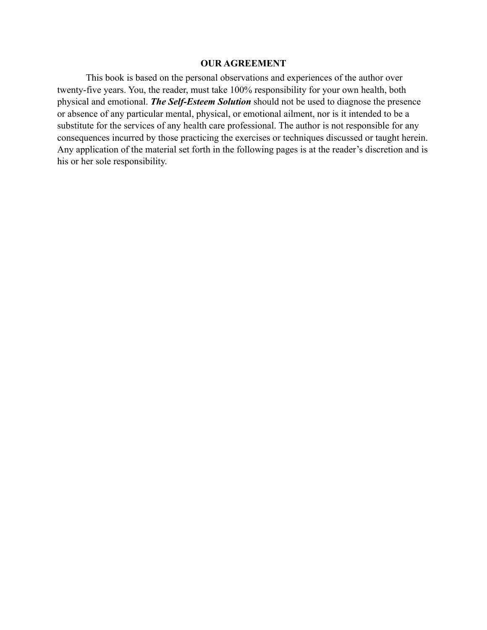#### **OUR AGREEMENT**

This book is based on the personal observations and experiences of the author over twenty-five years. You, the reader, must take 100% responsibility for your own health, both physical and emotional. *The Self-Esteem Solution* should not be used to diagnose the presence or absence of any particular mental, physical, or emotional ailment, nor is it intended to be a substitute for the services of any health care professional. The author is not responsible for any consequences incurred by those practicing the exercises or techniques discussed or taught herein. Any application of the material set forth in the following pages is at the reader's discretion and is his or her sole responsibility.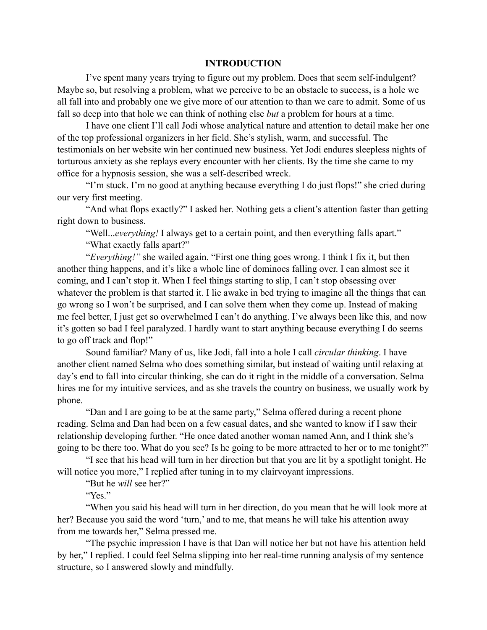# **INTRODUCTION**

I've spent many years trying to figure out my problem. Does that seem self-indulgent? Maybe so, but resolving a problem, what we perceive to be an obstacle to success, is a hole we all fall into and probably one we give more of our attention to than we care to admit. Some of us fall so deep into that hole we can think of nothing else *but* a problem for hours at a time.

I have one client I'll call Jodi whose analytical nature and attention to detail make her one of the top professional organizers in her field. She's stylish, warm, and successful. The testimonials on her website win her continued new business. Yet Jodi endures sleepless nights of torturous anxiety as she replays every encounter with her clients. By the time she came to my office for a hypnosis session, she was a self-described wreck.

"I'm stuck. I'm no good at anything because everything I do just flops!" she cried during our very first meeting.

"And what flops exactly?" I asked her. Nothing gets a client's attention faster than getting right down to business.

"Well...*everything!* I always get to a certain point, and then everything falls apart." "What exactly falls apart?"

"*Everything!"* she wailed again. "First one thing goes wrong. I think I fix it, but then another thing happens, and it's like a whole line of dominoes falling over. I can almost see it coming, and I can't stop it. When I feel things starting to slip, I can't stop obsessing over whatever the problem is that started it. I lie awake in bed trying to imagine all the things that can go wrong so I won't be surprised, and I can solve them when they come up. Instead of making me feel better, I just get so overwhelmed I can't do anything. I've always been like this, and now it's gotten so bad I feel paralyzed. I hardly want to start anything because everything I do seems to go off track and flop!"

Sound familiar? Many of us, like Jodi, fall into a hole I call *circular thinking*. I have another client named Selma who does something similar, but instead of waiting until relaxing at day's end to fall into circular thinking, she can do it right in the middle of a conversation. Selma hires me for my intuitive services, and as she travels the country on business, we usually work by phone.

"Dan and I are going to be at the same party," Selma offered during a recent phone reading. Selma and Dan had been on a few casual dates, and she wanted to know if I saw their relationship developing further. "He once dated another woman named Ann, and I think she's going to be there too. What do you see? Is he going to be more attracted to her or to me tonight?"

"I see that his head will turn in her direction but that you are lit by a spotlight tonight. He will notice you more," I replied after tuning in to my clairvoyant impressions.

"But he *will* see her?"

"Yes."

"When you said his head will turn in her direction, do you mean that he will look more at her? Because you said the word 'turn,' and to me, that means he will take his attention away from me towards her," Selma pressed me.

"The psychic impression I have is that Dan will notice her but not have his attention held by her," I replied. I could feel Selma slipping into her real-time running analysis of my sentence structure, so I answered slowly and mindfully.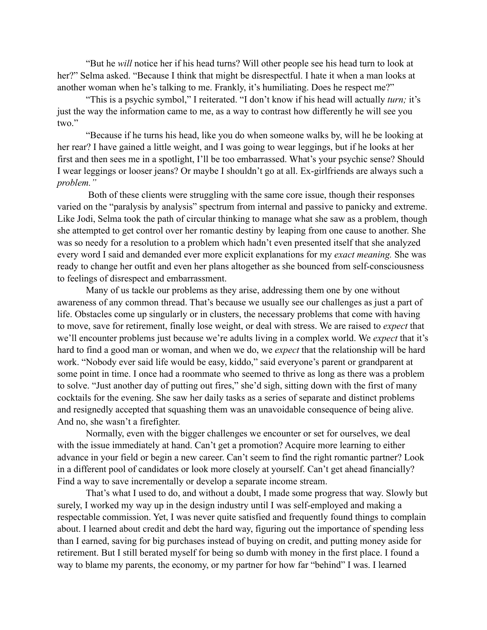"But he *will* notice her if his head turns? Will other people see his head turn to look at her?" Selma asked. "Because I think that might be disrespectful. I hate it when a man looks at another woman when he's talking to me. Frankly, it's humiliating. Does he respect me?"

"This is a psychic symbol," I reiterated. "I don't know if his head will actually *turn;* it's just the way the information came to me, as a way to contrast how differently he will see you two."

"Because if he turns his head, like you do when someone walks by, will he be looking at her rear? I have gained a little weight, and I was going to wear leggings, but if he looks at her first and then sees me in a spotlight, I'll be too embarrassed. What's your psychic sense? Should I wear leggings or looser jeans? Or maybe I shouldn't go at all. Ex-girlfriends are always such a *problem."*

 Both of these clients were struggling with the same core issue, though their responses varied on the "paralysis by analysis" spectrum from internal and passive to panicky and extreme. Like Jodi, Selma took the path of circular thinking to manage what she saw as a problem, though she attempted to get control over her romantic destiny by leaping from one cause to another. She was so needy for a resolution to a problem which hadn't even presented itself that she analyzed every word I said and demanded ever more explicit explanations for my *exact meaning.* She was ready to change her outfit and even her plans altogether as she bounced from self-consciousness to feelings of disrespect and embarrassment.

Many of us tackle our problems as they arise, addressing them one by one without awareness of any common thread. That's because we usually see our challenges as just a part of life. Obstacles come up singularly or in clusters, the necessary problems that come with having to move, save for retirement, finally lose weight, or deal with stress. We are raised to *expect* that we'll encounter problems just because we're adults living in a complex world. We *expect* that it's hard to find a good man or woman, and when we do, we *expect* that the relationship will be hard work. "Nobody ever said life would be easy, kiddo," said everyone's parent or grandparent at some point in time. I once had a roommate who seemed to thrive as long as there was a problem to solve. "Just another day of putting out fires," she'd sigh, sitting down with the first of many cocktails for the evening. She saw her daily tasks as a series of separate and distinct problems and resignedly accepted that squashing them was an unavoidable consequence of being alive. And no, she wasn't a firefighter.

Normally, even with the bigger challenges we encounter or set for ourselves, we deal with the issue immediately at hand. Can't get a promotion? Acquire more learning to either advance in your field or begin a new career. Can't seem to find the right romantic partner? Look in a different pool of candidates or look more closely at yourself. Can't get ahead financially? Find a way to save incrementally or develop a separate income stream.

That's what I used to do, and without a doubt, I made some progress that way. Slowly but surely, I worked my way up in the design industry until I was self-employed and making a respectable commission. Yet, I was never quite satisfied and frequently found things to complain about. I learned about credit and debt the hard way, figuring out the importance of spending less than I earned, saving for big purchases instead of buying on credit, and putting money aside for retirement. But I still berated myself for being so dumb with money in the first place. I found a way to blame my parents, the economy, or my partner for how far "behind" I was. I learned